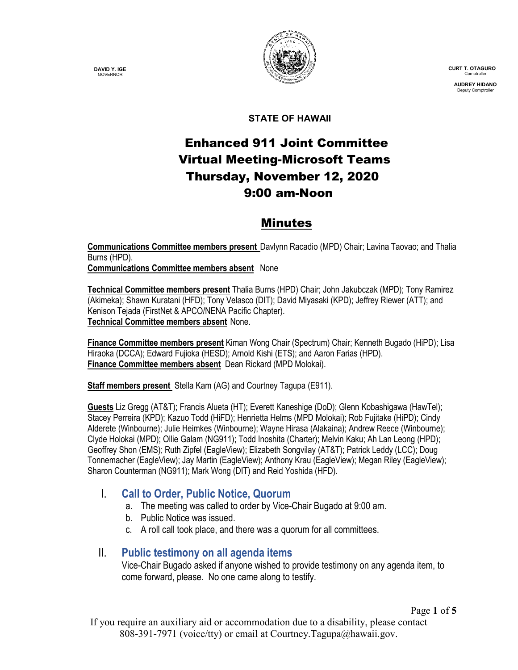**DAVID Y. IGE GOVERNOR** 



 **CURT T. OTAGURO** Comptrol

 **AUDREY HIDANO** Deputy Comptro

#### **STATE OF HAWAII**

# Enhanced 911 Joint Committee Virtual Meeting-Microsoft Teams Thursday, November 12, 2020 9:00 am-Noon

## Minutes

**Communications Committee members present** Davlynn Racadio (MPD) Chair; Lavina Taovao; and Thalia Burns (HPD).

**Communications Committee members absent** None

**Technical Committee members present** Thalia Burns (HPD) Chair; John Jakubczak (MPD); Tony Ramirez (Akimeka); Shawn Kuratani (HFD); Tony Velasco (DIT); David Miyasaki (KPD); Jeffrey Riewer (ATT); and Kenison Tejada (FirstNet & APCO/NENA Pacific Chapter). **Technical Committee members absent** None.

**Finance Committee members present** Kiman Wong Chair (Spectrum) Chair; Kenneth Bugado (HiPD); Lisa Hiraoka (DCCA); Edward Fujioka (HESD); Arnold Kishi (ETS); and Aaron Farias (HPD). **Finance Committee members absent** Dean Rickard (MPD Molokai).

**Staff members present** Stella Kam (AG) and Courtney Tagupa (E911).

**Guests** Liz Gregg (AT&T); Francis Alueta (HT); Everett Kaneshige (DoD); Glenn Kobashigawa (HawTel); Stacey Perreira (KPD); Kazuo Todd (HiFD); Henrietta Helms (MPD Molokai); Rob Fujitake (HiPD); Cindy Alderete (Winbourne); Julie Heimkes (Winbourne); Wayne Hirasa (Alakaina); Andrew Reece (Winbourne); Clyde Holokai (MPD); Ollie Galam (NG911); Todd Inoshita (Charter); Melvin Kaku; Ah Lan Leong (HPD); Geoffrey Shon (EMS); Ruth Zipfel (EagleView); Elizabeth Songvilay (AT&T); Patrick Leddy (LCC); Doug Tonnemacher (EagleView); Jay Martin (EagleView); Anthony Krau (EagleView); Megan Riley (EagleView); Sharon Counterman (NG911); Mark Wong (DIT) and Reid Yoshida (HFD).

### I. **Call to Order, Public Notice, Quorum**

- a. The meeting was called to order by Vice-Chair Bugado at 9:00 am.
- b. Public Notice was issued.
- c. A roll call took place, and there was a quorum for all committees.

### II. **Public testimony on all agenda items**

Vice-Chair Bugado asked if anyone wished to provide testimony on any agenda item, to come forward, please. No one came along to testify.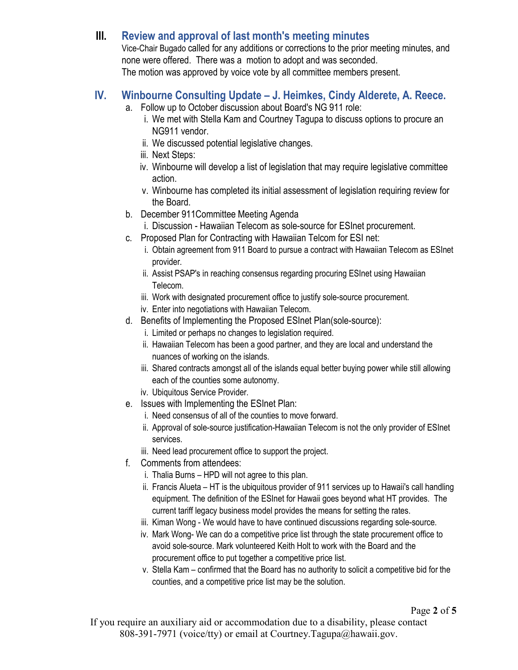## **III. Review and approval of last month's meeting minutes**

Vice-Chair Bugado called for any additions or corrections to the prior meeting minutes, and none were offered. There was a motion to adopt and was seconded. The motion was approved by voice vote by all committee members present.

## **IV. Winbourne Consulting Update – J. Heimkes, Cindy Alderete, A. Reece.**

- a. Follow up to October discussion about Board's NG 911 role:
	- i. We met with Stella Kam and Courtney Tagupa to discuss options to procure an NG911 vendor.
	- ii. We discussed potential legislative changes.
	- iii. Next Steps:
	- iv. Winbourne will develop a list of legislation that may require legislative committee action.
	- v. Winbourne has completed its initial assessment of legislation requiring review for the Board.
- b. December 911Committee Meeting Agenda
	- i. Discussion Hawaiian Telecom as sole-source for ESInet procurement.
- c. Proposed Plan for Contracting with Hawaiian Telcom for ESI net:
	- i. Obtain agreement from 911 Board to pursue a contract with Hawaiian Telecom as ESInet provider.
	- ii. Assist PSAP's in reaching consensus regarding procuring ESInet using Hawaiian Telecom.
	- iii. Work with designated procurement office to justify sole-source procurement.
	- iv. Enter into negotiations with Hawaiian Telecom.
- d. Benefits of Implementing the Proposed ESInet Plan(sole-source):
	- i. Limited or perhaps no changes to legislation required.
	- ii. Hawaiian Telecom has been a good partner, and they are local and understand the nuances of working on the islands.
	- iii. Shared contracts amongst all of the islands equal better buying power while still allowing each of the counties some autonomy.
	- iv. Ubiquitous Service Provider.
- e. Issues with Implementing the ESInet Plan:
	- i. Need consensus of all of the counties to move forward.
	- ii. Approval of sole-source justification-Hawaiian Telecom is not the only provider of ESInet services.
	- iii. Need lead procurement office to support the project.
- f. Comments from attendees:
	- i. Thalia Burns HPD will not agree to this plan.
	- ii. Francis Alueta HT is the ubiquitous provider of 911 services up to Hawaii's call handling equipment. The definition of the ESInet for Hawaii goes beyond what HT provides. The current tariff legacy business model provides the means for setting the rates.
	- iii. Kiman Wong We would have to have continued discussions regarding sole-source.
	- iv. Mark Wong- We can do a competitive price list through the state procurement office to avoid sole-source. Mark volunteered Keith Holt to work with the Board and the procurement office to put together a competitive price list.
	- v. Stella Kam confirmed that the Board has no authority to solicit a competitive bid for the counties, and a competitive price list may be the solution.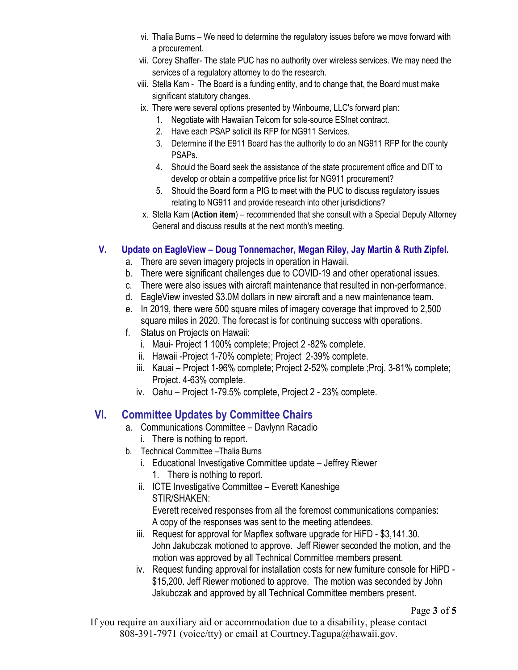- vi. Thalia Burns We need to determine the regulatory issues before we move forward with a procurement.
- vii. Corey Shaffer- The state PUC has no authority over wireless services. We may need the services of a regulatory attorney to do the research.
- viii. Stella Kam The Board is a funding entity, and to change that, the Board must make significant statutory changes.
- ix. There were several options presented by Winbourne, LLC's forward plan:
	- 1. Negotiate with Hawaiian Telcom for sole-source ESInet contract.
	- 2. Have each PSAP solicit its RFP for NG911 Services.
	- 3. Determine if the E911 Board has the authority to do an NG911 RFP for the county PSAPs.
	- 4. Should the Board seek the assistance of the state procurement office and DIT to develop or obtain a competitive price list for NG911 procurement?
	- 5. Should the Board form a PIG to meet with the PUC to discuss regulatory issues relating to NG911 and provide research into other jurisdictions?
- x. Stella Kam (**Action item**) recommended that she consult with a Special Deputy Attorney General and discuss results at the next month's meeting.

#### **V. Update on EagleView – Doug Tonnemacher, Megan Riley, Jay Martin & Ruth Zipfel.**

- a. There are seven imagery projects in operation in Hawaii.
- b. There were significant challenges due to COVID-19 and other operational issues.
- c. There were also issues with aircraft maintenance that resulted in non-performance.
- d. EagleView invested \$3.0M dollars in new aircraft and a new maintenance team.
- e. In 2019, there were 500 square miles of imagery coverage that improved to 2,500 square miles in 2020. The forecast is for continuing success with operations.
- f. Status on Projects on Hawaii:
	- i. Maui- Project 1 100% complete; Project 2 -82% complete.
	- ii. Hawaii -Project 1-70% complete; Project 2-39% complete.
	- iii. Kauai Project 1-96% complete; Project 2-52% complete ;Proj. 3-81% complete; Project. 4-63% complete.
	- iv. Oahu Project 1-79.5% complete, Project 2 23% complete.

## **VI. Committee Updates by Committee Chairs**

- a. Communications Committee Davlynn Racadio
	- i. There is nothing to report.
- b. Technical Committee –Thalia Burns
	- i. Educational Investigative Committee update Jeffrey Riewer 1. There is nothing to report.
	- ii. ICTE Investigative Committee Everett Kaneshige STIR/SHAKEN:

Everett received responses from all the foremost communications companies: A copy of the responses was sent to the meeting attendees.

- iii. Request for approval for Mapflex software upgrade for HiFD \$3,141.30. John Jakubczak motioned to approve. Jeff Riewer seconded the motion, and the motion was approved by all Technical Committee members present.
- iv. Request funding approval for installation costs for new furniture console for HiPD \$15,200. Jeff Riewer motioned to approve. The motion was seconded by John Jakubczak and approved by all Technical Committee members present.

If you require an auxiliary aid or accommodation due to a disability, please contact 808-391-7971 (voice/tty) or email at Courtney.Tagupa@hawaii.gov.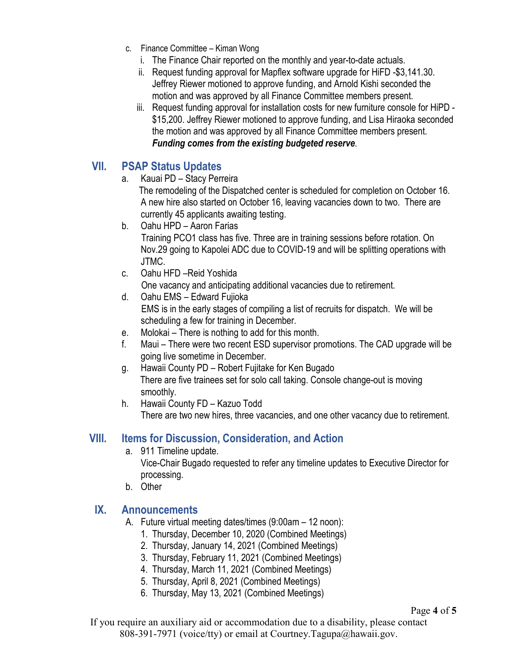- c. Finance Committee Kiman Wong
	- i. The Finance Chair reported on the monthly and year-to-date actuals.
	- ii. Request funding approval for Mapflex software upgrade for HiFD -\$3,141.30. Jeffrey Riewer motioned to approve funding, and Arnold Kishi seconded the motion and was approved by all Finance Committee members present.
	- iii. Request funding approval for installation costs for new furniture console for HiPD \$15,200. Jeffrey Riewer motioned to approve funding, and Lisa Hiraoka seconded the motion and was approved by all Finance Committee members present. *Funding comes from the existing budgeted reserve*.

#### **VII. PSAP Status Updates**

a. Kauai PD – Stacy Perreira

 The remodeling of the Dispatched center is scheduled for completion on October 16. A new hire also started on October 16, leaving vacancies down to two. There are currently 45 applicants awaiting testing.

- b. Oahu HPD Aaron Farias Training PCO1 class has five. Three are in training sessions before rotation. On Nov.29 going to Kapolei ADC due to COVID-19 and will be splitting operations with JTMC.
- c. Oahu HFD –Reid Yoshida One vacancy and anticipating additional vacancies due to retirement.
- d. Oahu EMS Edward Fujioka EMS is in the early stages of compiling a list of recruits for dispatch. We will be scheduling a few for training in December.
- e. Molokai There is nothing to add for this month.
- f. Maui There were two recent ESD supervisor promotions. The CAD upgrade will be going live sometime in December.
- g. Hawaii County PD Robert Fujitake for Ken Bugado There are five trainees set for solo call taking. Console change-out is moving smoothly.
- h. Hawaii County FD Kazuo Todd There are two new hires, three vacancies, and one other vacancy due to retirement.

## **VIII. Items for Discussion, Consideration, and Action**

- a. 911 Timeline update. Vice-Chair Bugado requested to refer any timeline updates to Executive Director for processing.
- b. Other

### **IX. Announcements**

- A. Future virtual meeting dates/times (9:00am 12 noon):
	- 1. Thursday, December 10, 2020 (Combined Meetings)
	- 2. Thursday, January 14, 2021 (Combined Meetings)
	- 3. Thursday, February 11, 2021 (Combined Meetings)
	- 4. Thursday, March 11, 2021 (Combined Meetings)
	- 5. Thursday, April 8, 2021 (Combined Meetings)
	- 6. Thursday, May 13, 2021 (Combined Meetings)

If you require an auxiliary aid or accommodation due to a disability, please contact 808-391-7971 (voice/tty) or email at Courtney.Tagupa@hawaii.gov.